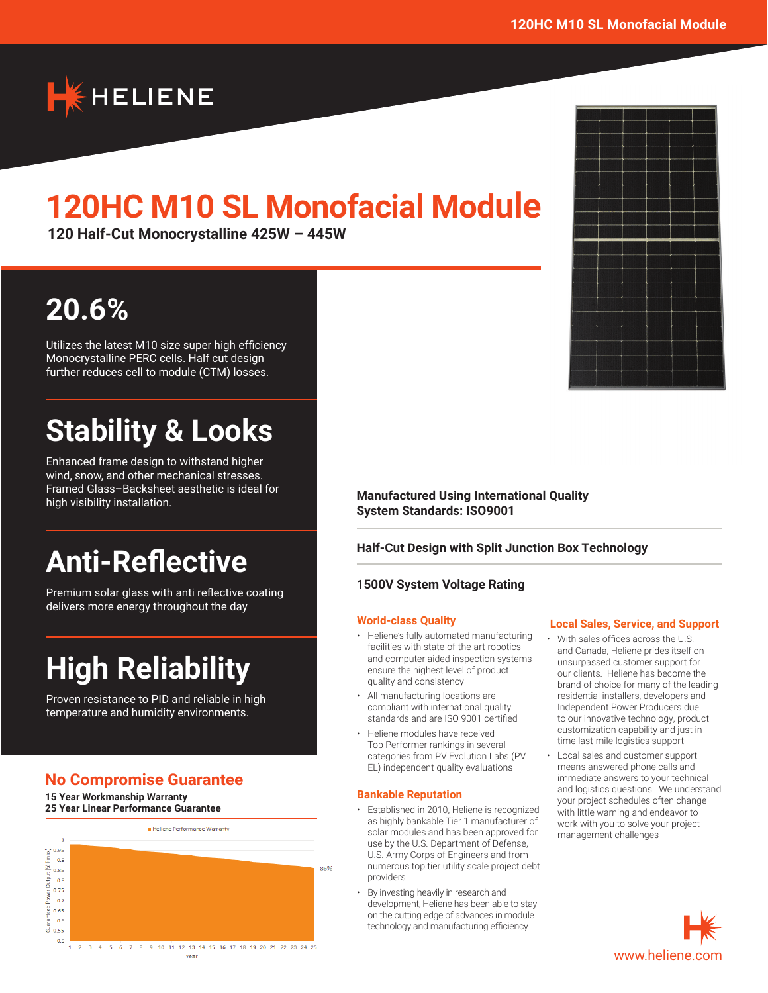

# **120HC M10 SL Monofacial Module**

**120 Half-Cut Monocrystalline 425W – 445W**

# **20.6%**

Utilizes the latest M10 size super high efficiency Monocrystalline PERC cells. Half cut design further reduces cell to module (CTM) losses.

# **Stability & Looks**

Enhanced frame design to withstand higher wind, snow, and other mechanical stresses. Framed Glass–Backsheet aesthetic is ideal for high visibility installation.

# **Anti-Reflective**

Premium solar glass with anti reflective coating delivers more energy throughout the day

# **High Reliability**

Proven resistance to PID and reliable in high temperature and humidity environments.

## **No Compromise Guarantee**

**15 Year Workmanship Warranty 25 Year Linear Performance Guarantee**



**Manufactured Using International Quality System Standards: ISO9001**

#### **Half-Cut Design with Split Junction Box Technology**

#### **1500V System Voltage Rating**

#### **World-class Quality**

- Heliene's fully automated manufacturing facilities with state-of-the-art robotics and computer aided inspection systems ensure the highest level of product quality and consistency
- All manufacturing locations are compliant with international quality standards and are ISO 9001 certified
- Heliene modules have received Top Performer rankings in several categories from PV Evolution Labs (PV EL) independent quality evaluations

#### **Bankable Reputation**

- Established in 2010, Heliene is recognized as highly bankable Tier 1 manufacturer of solar modules and has been approved for use by the U.S. Department of Defense, U.S. Army Corps of Engineers and from numerous top tier utility scale project debt providers
- By investing heavily in research and development, Heliene has been able to stay on the cutting edge of advances in module technology and manufacturing efficiency

#### **Local Sales, Service, and Support**

- With sales offices across the U.S. and Canada, Heliene prides itself on unsurpassed customer support for our clients. Heliene has become the brand of choice for many of the leading residential installers, developers and Independent Power Producers due to our innovative technology, product customization capability and just in time last-mile logistics support
- Local sales and customer support means answered phone calls and immediate answers to your technical and logistics questions. We understand your project schedules often change with little warning and endeavor to work with you to solve your project management challenges